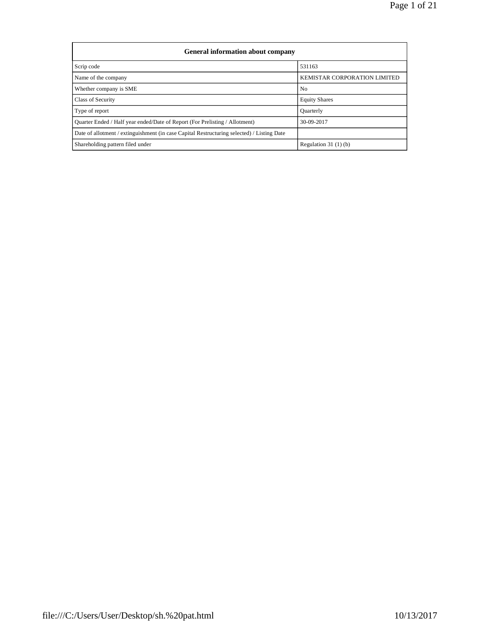| <b>General information about company</b>                                                   |                              |  |  |  |  |  |  |  |
|--------------------------------------------------------------------------------------------|------------------------------|--|--|--|--|--|--|--|
| Scrip code                                                                                 | 531163                       |  |  |  |  |  |  |  |
| Name of the company                                                                        | KEMISTAR CORPORATION LIMITED |  |  |  |  |  |  |  |
| Whether company is SME                                                                     | No                           |  |  |  |  |  |  |  |
| Class of Security                                                                          | <b>Equity Shares</b>         |  |  |  |  |  |  |  |
| Type of report                                                                             | Quarterly                    |  |  |  |  |  |  |  |
| Quarter Ended / Half year ended/Date of Report (For Prelisting / Allotment)                | 30-09-2017                   |  |  |  |  |  |  |  |
| Date of allotment / extinguishment (in case Capital Restructuring selected) / Listing Date |                              |  |  |  |  |  |  |  |
| Shareholding pattern filed under                                                           | Regulation $31(1)(b)$        |  |  |  |  |  |  |  |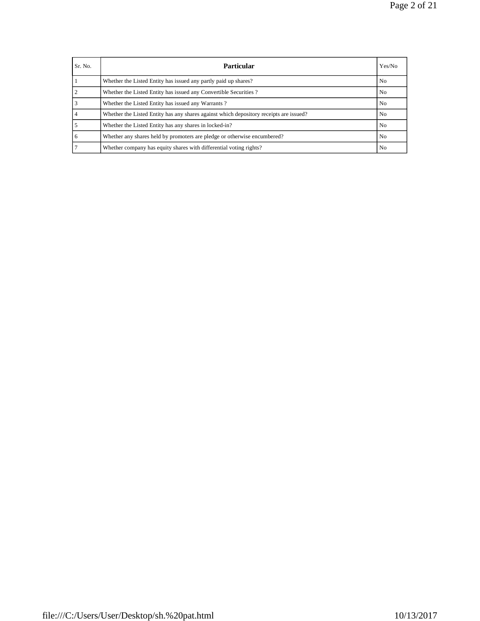Page 2 of 21

| Sr. No. | <b>Particular</b>                                                                      | Yes/No |
|---------|----------------------------------------------------------------------------------------|--------|
|         | Whether the Listed Entity has issued any partly paid up shares?                        | No.    |
|         | Whether the Listed Entity has issued any Convertible Securities?                       | No     |
|         | Whether the Listed Entity has issued any Warrants?                                     | No     |
|         | Whether the Listed Entity has any shares against which depository receipts are issued? | No     |
|         | Whether the Listed Entity has any shares in locked-in?                                 | No     |
| 6       | Whether any shares held by promoters are pledge or otherwise encumbered?               | No     |
|         | Whether company has equity shares with differential voting rights?                     | No.    |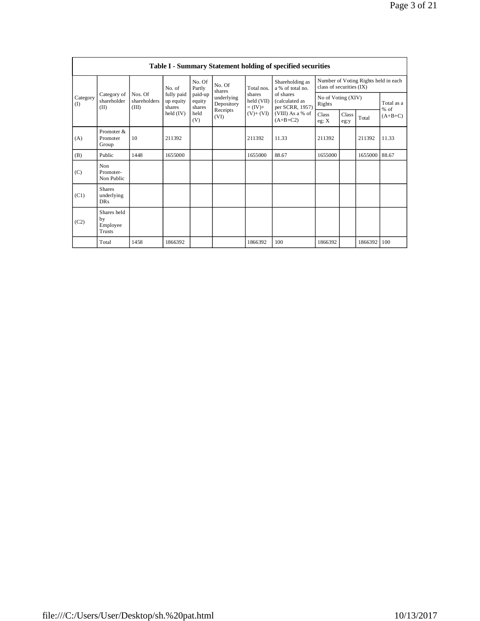|                 | <b>Table I - Summary Statement holding of specified securities</b> |                                  |                                   |                             |                          |                                                                  |                                                                                                                         |                                                                  |               |         |                      |  |  |  |
|-----------------|--------------------------------------------------------------------|----------------------------------|-----------------------------------|-----------------------------|--------------------------|------------------------------------------------------------------|-------------------------------------------------------------------------------------------------------------------------|------------------------------------------------------------------|---------------|---------|----------------------|--|--|--|
| Category<br>(1) |                                                                    |                                  | No. of                            | No. Of<br>Partly            | No. Of<br>shares         | Total nos.<br>shares<br>held (VII)<br>$=(IV)+$<br>$(V)$ + $(VI)$ | Shareholding as<br>a % of total no.<br>of shares<br>(calculated as<br>per SCRR, 1957)<br>(VIII) As a % of<br>$(A+B+C2)$ | Number of Voting Rights held in each<br>class of securities (IX) |               |         |                      |  |  |  |
|                 | Category of<br>shareholder<br>(II)                                 | Nos. Of<br>shareholders<br>(III) | fully paid<br>up equity<br>shares | paid-up<br>equity<br>shares | underlying<br>Depository |                                                                  |                                                                                                                         | No of Voting (XIV)<br>Rights                                     |               |         | Total as a<br>$%$ of |  |  |  |
|                 |                                                                    |                                  | held (IV)                         | held<br>(V)                 | Receipts<br>(VI)         |                                                                  |                                                                                                                         | Class<br>eg: X                                                   | Class<br>eg:y | Total   | $(A+B+C)$            |  |  |  |
| (A)             | Promoter &<br>Promoter<br>Group                                    | 10                               | 211392                            |                             |                          | 211392                                                           | 11.33                                                                                                                   | 211392                                                           |               | 211392  | 11.33                |  |  |  |
| (B)             | Public                                                             | 1448                             | 1655000                           |                             |                          | 1655000                                                          | 88.67                                                                                                                   | 1655000                                                          |               | 1655000 | 88.67                |  |  |  |
| (C)             | Non<br>Promoter-<br>Non Public                                     |                                  |                                   |                             |                          |                                                                  |                                                                                                                         |                                                                  |               |         |                      |  |  |  |
| (C1)            | <b>Shares</b><br>underlying<br><b>DRs</b>                          |                                  |                                   |                             |                          |                                                                  |                                                                                                                         |                                                                  |               |         |                      |  |  |  |
| (C2)            | Shares held<br>by<br>Employee<br><b>Trusts</b>                     |                                  |                                   |                             |                          |                                                                  |                                                                                                                         |                                                                  |               |         |                      |  |  |  |
|                 | Total                                                              | 1458                             | 1866392                           |                             |                          | 1866392                                                          | 100                                                                                                                     | 1866392                                                          |               | 1866392 | 100                  |  |  |  |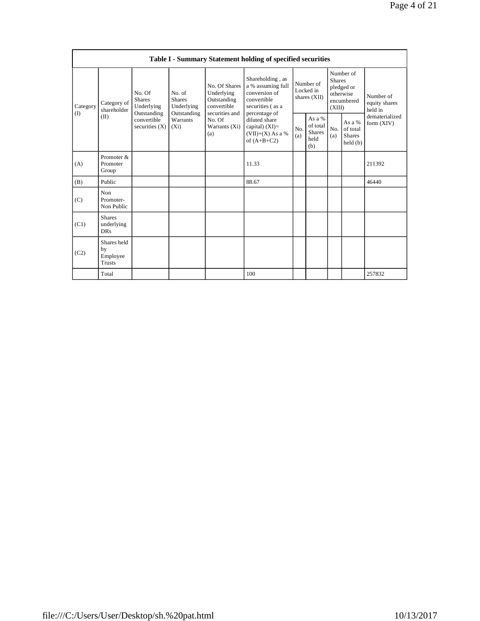|                   | Table I - Summary Statement holding of specified securities |                                                      |                                                                             |                                                                                                               |                                                                                                            |                                        |                                               |                                                                               |                                                |                                       |  |  |  |
|-------------------|-------------------------------------------------------------|------------------------------------------------------|-----------------------------------------------------------------------------|---------------------------------------------------------------------------------------------------------------|------------------------------------------------------------------------------------------------------------|----------------------------------------|-----------------------------------------------|-------------------------------------------------------------------------------|------------------------------------------------|---------------------------------------|--|--|--|
| Category<br>$($ I | Category of<br>shareholder<br>(II)                          | No. Of<br><b>Shares</b><br>Underlying<br>Outstanding | No. of<br><b>Shares</b><br>Underlying<br>Outstanding<br>Warrants<br>$(X_i)$ | No. Of Shares<br>Underlying<br>Outstanding<br>convertible<br>securities and<br>No. Of<br>Warrants (Xi)<br>(a) | Shareholding, as<br>a % assuming full<br>conversion of<br>convertible<br>securities (as a<br>percentage of | Number of<br>Locked in<br>shares (XII) |                                               | Number of<br><b>Shares</b><br>pledged or<br>otherwise<br>encumbered<br>(XIII) |                                                | Number of<br>equity shares<br>held in |  |  |  |
|                   |                                                             | convertible<br>securities $(X)$                      |                                                                             |                                                                                                               | diluted share<br>capital) $(XI)$ =<br>$(VII)+(X)$ As a %<br>of $(A+B+C2)$                                  | No.<br>(a)                             | As $a\%$<br>of total<br>Shares<br>held<br>(b) | No.<br>(a)                                                                    | As a %<br>of total<br><b>Shares</b><br>held(b) | dematerialized<br>form $(XIV)$        |  |  |  |
| (A)               | Promoter &<br>Promoter<br>Group                             |                                                      |                                                                             |                                                                                                               | 11.33                                                                                                      |                                        |                                               |                                                                               |                                                | 211392                                |  |  |  |
| (B)               | Public                                                      |                                                      |                                                                             |                                                                                                               | 88.67                                                                                                      |                                        |                                               |                                                                               |                                                | 46440                                 |  |  |  |
| (C)               | Non<br>Promoter-<br>Non Public                              |                                                      |                                                                             |                                                                                                               |                                                                                                            |                                        |                                               |                                                                               |                                                |                                       |  |  |  |
| (C1)              | <b>Shares</b><br>underlying<br><b>DRs</b>                   |                                                      |                                                                             |                                                                                                               |                                                                                                            |                                        |                                               |                                                                               |                                                |                                       |  |  |  |
| (C2)              | Shares held<br>by<br>Employee<br><b>Trusts</b>              |                                                      |                                                                             |                                                                                                               |                                                                                                            |                                        |                                               |                                                                               |                                                |                                       |  |  |  |
|                   | Total                                                       |                                                      |                                                                             |                                                                                                               | 100                                                                                                        |                                        |                                               |                                                                               |                                                | 257832                                |  |  |  |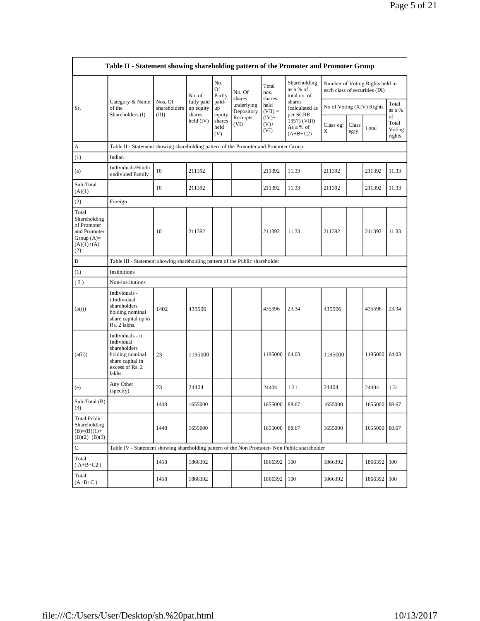|                                                                                             | Table II - Statement showing shareholding pattern of the Promoter and Promoter Group                                |                         |                         |                                 |                                              |                            |                                                                                  |                               |               |                                 |                                 |  |  |
|---------------------------------------------------------------------------------------------|---------------------------------------------------------------------------------------------------------------------|-------------------------|-------------------------|---------------------------------|----------------------------------------------|----------------------------|----------------------------------------------------------------------------------|-------------------------------|---------------|---------------------------------|---------------------------------|--|--|
|                                                                                             |                                                                                                                     |                         | No. of                  | No.<br>Of<br>Partly             | No. Of<br>shares                             | Total<br>nos.<br>shares    | Shareholding<br>as a % of<br>total no. of                                        | each class of securities (IX) |               | Number of Voting Rights held in |                                 |  |  |
| Sr.                                                                                         | Category & Name<br>of the<br>Shareholders (I)                                                                       | Nos. Of<br>shareholders | fully paid<br>up equity | paid-<br>up                     | underlying<br>Depository<br>Receipts<br>(VI) | held<br>$(VII) =$          | shares<br>(calculated as<br>per SCRR,<br>1957) (VIII)<br>As a % of<br>$(A+B+C2)$ | No of Voting (XIV) Rights     |               |                                 | Total<br>as a %                 |  |  |
|                                                                                             |                                                                                                                     | (III)                   | shares<br>held (IV)     | equity<br>shares<br>held<br>(V) |                                              | $(IV)+$<br>$(V) +$<br>(VI) |                                                                                  | Class eg:<br>X                | Class<br>eg:y | Total                           | of<br>Total<br>Voting<br>rights |  |  |
| А                                                                                           | Table II - Statement showing shareholding pattern of the Promoter and Promoter Group                                |                         |                         |                                 |                                              |                            |                                                                                  |                               |               |                                 |                                 |  |  |
| (1)                                                                                         | Indian                                                                                                              |                         |                         |                                 |                                              |                            |                                                                                  |                               |               |                                 |                                 |  |  |
| (a)                                                                                         | Individuals/Hindu<br>undivided Family                                                                               | 10                      | 211392                  |                                 |                                              | 211392                     | 11.33                                                                            | 211392                        |               | 211392                          | 11.33                           |  |  |
| Sub-Total<br>(A)(1)                                                                         |                                                                                                                     | 10                      | 211392                  |                                 |                                              | 211392                     | 11.33                                                                            | 211392                        |               | 211392                          | 11.33                           |  |  |
| (2)                                                                                         | Foreign                                                                                                             |                         |                         |                                 |                                              |                            |                                                                                  |                               |               |                                 |                                 |  |  |
| Total<br>Shareholding<br>of Promoter<br>and Promoter<br>Group $(A)=$<br>$(A)(1)+(A)$<br>(2) |                                                                                                                     | 10                      | 211392                  |                                 |                                              | 211392                     | 11.33                                                                            | 211392                        |               | 211392                          | 11.33                           |  |  |
| B                                                                                           | Table III - Statement showing shareholding pattern of the Public shareholder                                        |                         |                         |                                 |                                              |                            |                                                                                  |                               |               |                                 |                                 |  |  |
| (1)                                                                                         | Institutions                                                                                                        |                         |                         |                                 |                                              |                            |                                                                                  |                               |               |                                 |                                 |  |  |
| (3)                                                                                         | Non-institutions                                                                                                    |                         |                         |                                 |                                              |                            |                                                                                  |                               |               |                                 |                                 |  |  |
| (a(i))                                                                                      | Individuals -<br>i.Individual<br>shareholders<br>holding nominal<br>share capital up to<br>Rs. 2 lakhs.             | 1402                    | 435596                  |                                 |                                              | 435596                     | 23.34                                                                            | 435596                        |               | 435596                          | 23.34                           |  |  |
| (a(ii))                                                                                     | Individuals - ii.<br>Individual<br>shareholders<br>holding nominal<br>share capital in<br>excess of Rs. 2<br>lakhs. | 23                      | 1195000                 |                                 |                                              | 1195000                    | 64.03                                                                            | 1195000                       |               | 1195000 64.03                   |                                 |  |  |
| (e)                                                                                         | Any Other<br>(specify)                                                                                              | 23                      | 24404                   |                                 |                                              | 24404                      | 1.31                                                                             | 24404                         |               | 24404                           | 1.31                            |  |  |
| Sub-Total (B)<br>(3)                                                                        |                                                                                                                     | 1448                    | 1655000                 |                                 |                                              | 1655000                    | 88.67                                                                            | 1655000                       |               | 1655000                         | 88.67                           |  |  |
| <b>Total Public</b><br>Shareholding<br>$(B)=(B)(1)+$<br>$(B)(2)+(B)(3)$                     |                                                                                                                     | 1448                    | 1655000                 |                                 |                                              | 1655000                    | 88.67                                                                            | 1655000                       |               | 1655000                         | 88.67                           |  |  |
| $\mathbf C$                                                                                 | Table IV - Statement showing shareholding pattern of the Non Promoter- Non Public shareholder                       |                         |                         |                                 |                                              |                            |                                                                                  |                               |               |                                 |                                 |  |  |
| Total<br>$(A+B+C2)$                                                                         |                                                                                                                     | 1458                    | 1866392                 |                                 |                                              | 1866392                    | 100                                                                              | 1866392                       |               | 1866392                         | 100                             |  |  |
| Total<br>$(A+B+C)$                                                                          |                                                                                                                     | 1458                    | 1866392                 |                                 |                                              | 1866392                    | 100                                                                              | 1866392                       |               | 1866392                         | 100                             |  |  |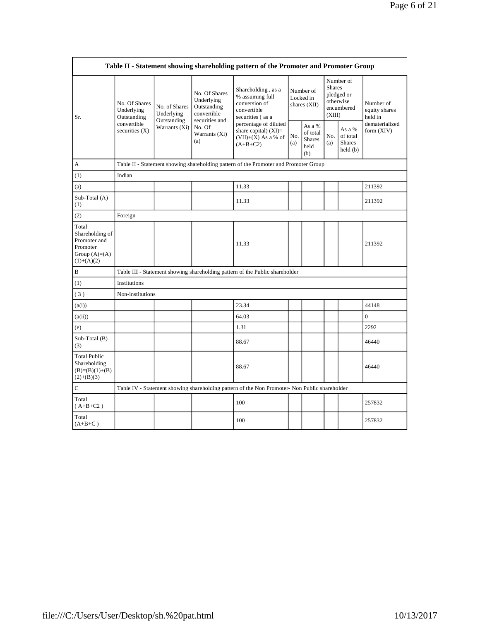|                                                                                         | Table II - Statement showing shareholding pattern of the Promoter and Promoter Group |                                                                                      |                                                                                                               |                                                                                               |                                        |                                                    |                         |                                                                |                                       |  |  |  |
|-----------------------------------------------------------------------------------------|--------------------------------------------------------------------------------------|--------------------------------------------------------------------------------------|---------------------------------------------------------------------------------------------------------------|-----------------------------------------------------------------------------------------------|----------------------------------------|----------------------------------------------------|-------------------------|----------------------------------------------------------------|---------------------------------------|--|--|--|
| Sr.                                                                                     | No. Of Shares<br>Underlying<br>Outstanding<br>convertible<br>securities $(X)$        | No. of Shares<br>Underlying<br>Outstanding<br>Warrants (Xi)                          | No. Of Shares<br>Underlying<br>Outstanding<br>convertible<br>securities and<br>No. Of<br>Warrants (Xi)<br>(a) | Shareholding, as a<br>% assuming full<br>conversion of<br>convertible<br>securities (as a     | Number of<br>Locked in<br>shares (XII) |                                                    | <b>Shares</b><br>(XIII) | Number of<br>pledged or<br>otherwise<br>encumbered             | Number of<br>equity shares<br>held in |  |  |  |
|                                                                                         |                                                                                      |                                                                                      |                                                                                                               | percentage of diluted<br>share capital) $(XI)$ =<br>$(VII)+(X)$ As a % of<br>$(A+B+C2)$       | No.<br>(a)                             | As a %<br>of total<br><b>Shares</b><br>held<br>(b) | No.<br>(a)              | As a %<br>of total<br><b>Shares</b><br>$\text{held}(\text{b})$ | dematerialized<br>form $(XIV)$        |  |  |  |
| A                                                                                       |                                                                                      | Table II - Statement showing shareholding pattern of the Promoter and Promoter Group |                                                                                                               |                                                                                               |                                        |                                                    |                         |                                                                |                                       |  |  |  |
| (1)                                                                                     | Indian                                                                               |                                                                                      |                                                                                                               |                                                                                               |                                        |                                                    |                         |                                                                |                                       |  |  |  |
| (a)                                                                                     |                                                                                      |                                                                                      |                                                                                                               | 11.33                                                                                         |                                        |                                                    |                         |                                                                | 211392                                |  |  |  |
| Sub-Total (A)<br>(1)                                                                    |                                                                                      |                                                                                      |                                                                                                               | 11.33                                                                                         |                                        |                                                    |                         |                                                                | 211392                                |  |  |  |
| (2)                                                                                     | Foreign                                                                              |                                                                                      |                                                                                                               |                                                                                               |                                        |                                                    |                         |                                                                |                                       |  |  |  |
| Total<br>Shareholding of<br>Promoter and<br>Promoter<br>Group $(A)=(A)$<br>$(1)+(A)(2)$ |                                                                                      |                                                                                      |                                                                                                               | 11.33                                                                                         |                                        |                                                    |                         |                                                                | 211392                                |  |  |  |
| $\, {\bf B}$                                                                            |                                                                                      |                                                                                      |                                                                                                               | Table III - Statement showing shareholding pattern of the Public shareholder                  |                                        |                                                    |                         |                                                                |                                       |  |  |  |
| (1)                                                                                     | Institutions                                                                         |                                                                                      |                                                                                                               |                                                                                               |                                        |                                                    |                         |                                                                |                                       |  |  |  |
| (3)                                                                                     | Non-institutions                                                                     |                                                                                      |                                                                                                               |                                                                                               |                                        |                                                    |                         |                                                                |                                       |  |  |  |
| (a(i))                                                                                  |                                                                                      |                                                                                      |                                                                                                               | 23.34                                                                                         |                                        |                                                    |                         |                                                                | 44148                                 |  |  |  |
| (a(ii))                                                                                 |                                                                                      |                                                                                      |                                                                                                               | 64.03                                                                                         |                                        |                                                    |                         |                                                                | $\overline{0}$                        |  |  |  |
| (e)                                                                                     |                                                                                      |                                                                                      |                                                                                                               | 1.31                                                                                          |                                        |                                                    |                         |                                                                | 2292                                  |  |  |  |
| $Sub-Total(B)$<br>(3)                                                                   |                                                                                      |                                                                                      |                                                                                                               | 88.67                                                                                         |                                        |                                                    |                         |                                                                | 46440                                 |  |  |  |
| <b>Total Public</b><br>Shareholding<br>$(B)=(B)(1)+(B)$<br>$(2)+(B)(3)$                 |                                                                                      |                                                                                      |                                                                                                               | 88.67                                                                                         |                                        |                                                    |                         |                                                                | 46440                                 |  |  |  |
| $\mathbf C$                                                                             |                                                                                      |                                                                                      |                                                                                                               | Table IV - Statement showing shareholding pattern of the Non Promoter- Non Public shareholder |                                        |                                                    |                         |                                                                |                                       |  |  |  |
| Total<br>$(A+B+C2)$                                                                     |                                                                                      |                                                                                      |                                                                                                               | 100                                                                                           |                                        |                                                    |                         |                                                                | 257832                                |  |  |  |
| Total<br>$(A+B+C)$                                                                      |                                                                                      |                                                                                      |                                                                                                               | 100                                                                                           |                                        |                                                    |                         |                                                                | 257832                                |  |  |  |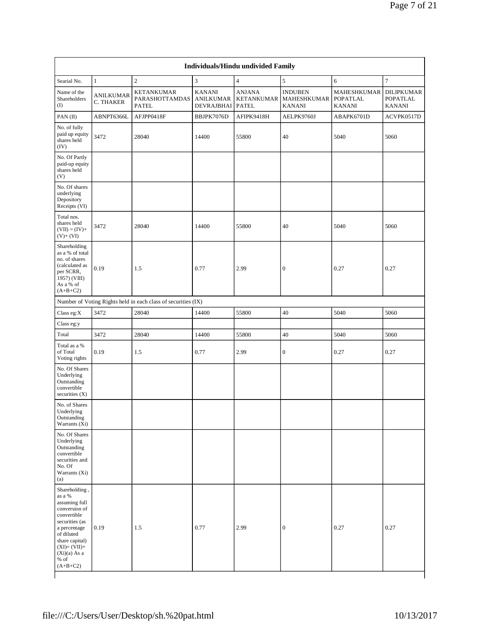|                                                                                                                                                                                                       | Individuals/Hindu undivided Family |                                                               |                                                 |                                                    |                                                |                                                 |                                         |  |  |  |  |  |
|-------------------------------------------------------------------------------------------------------------------------------------------------------------------------------------------------------|------------------------------------|---------------------------------------------------------------|-------------------------------------------------|----------------------------------------------------|------------------------------------------------|-------------------------------------------------|-----------------------------------------|--|--|--|--|--|
| Searial No.                                                                                                                                                                                           | $\mathbf{1}$                       | $\overline{c}$                                                | $\mathfrak{Z}$                                  | $\overline{4}$                                     | 5                                              | 6                                               | 7                                       |  |  |  |  |  |
| Name of the<br>Shareholders<br>(1)                                                                                                                                                                    | <b>ANILKUMAR</b><br>C. THAKER      | <b>KETANKUMAR</b><br>PARASHOTTAMDAS<br><b>PATEL</b>           | <b>KANANI</b><br><b>ANILKUMAR</b><br>DEVRAJBHAI | <b>ANJANA</b><br><b>KETANKUMAR</b><br><b>PATEL</b> | <b>INDUBEN</b><br>MAHESHKUMAR<br><b>KANANI</b> | <b>MAHESHKUMAR</b><br>POPATLAL<br><b>KANANI</b> | DILIPKUMAR<br>POPATLAL<br><b>KANANI</b> |  |  |  |  |  |
| PAN (II)                                                                                                                                                                                              | ABNPT6366L                         | AFJPP0418F                                                    | BBJPK7076D                                      | AFIPK9418H                                         | AELPK9760J                                     | ABAPK6701D                                      | ACVPK0517D                              |  |  |  |  |  |
| No. of fully<br>paid up equity<br>shares held<br>(IV)                                                                                                                                                 | 3472                               | 28040                                                         | 14400                                           | 55800                                              | 40                                             | 5040                                            | 5060                                    |  |  |  |  |  |
| No. Of Partly<br>paid-up equity<br>shares held<br>(V)                                                                                                                                                 |                                    |                                                               |                                                 |                                                    |                                                |                                                 |                                         |  |  |  |  |  |
| No. Of shares<br>underlying<br>Depository<br>Receipts (VI)                                                                                                                                            |                                    |                                                               |                                                 |                                                    |                                                |                                                 |                                         |  |  |  |  |  |
| Total nos.<br>shares held<br>$(VII) = (IV) +$<br>$(V)+(VI)$                                                                                                                                           | 3472                               | 28040                                                         | 14400                                           | 55800                                              | 40                                             | 5040                                            | 5060                                    |  |  |  |  |  |
| Shareholding<br>as a % of total<br>no. of shares<br>(calculated as<br>per SCRR,<br>1957) (VIII)<br>As a % of<br>$(A+B+C2)$                                                                            | 0.19                               | 1.5                                                           | 0.77                                            | 2.99                                               | $\boldsymbol{0}$                               | 0.27                                            | 0.27                                    |  |  |  |  |  |
|                                                                                                                                                                                                       |                                    | Number of Voting Rights held in each class of securities (IX) |                                                 |                                                    |                                                |                                                 |                                         |  |  |  |  |  |
| Class eg: $X$                                                                                                                                                                                         | 3472                               | 28040                                                         | 14400                                           | 55800                                              | 40                                             | 5040                                            | 5060                                    |  |  |  |  |  |
| Class eg:y                                                                                                                                                                                            |                                    |                                                               |                                                 |                                                    |                                                |                                                 |                                         |  |  |  |  |  |
| Total                                                                                                                                                                                                 | 3472                               | 28040                                                         | 14400                                           | 55800                                              | 40                                             | 5040                                            | 5060                                    |  |  |  |  |  |
| Total as a %<br>of Total<br>Voting rights                                                                                                                                                             | 0.19                               | 1.5                                                           | 0.77                                            | 2.99                                               | $\boldsymbol{0}$                               | 0.27                                            | 0.27                                    |  |  |  |  |  |
| No. Of Shares<br>Underlying<br>Outstanding<br>convertible<br>securities $(X)$                                                                                                                         |                                    |                                                               |                                                 |                                                    |                                                |                                                 |                                         |  |  |  |  |  |
| No. of Shares<br>Underlying<br>Outstanding<br>Warrants (Xi)                                                                                                                                           |                                    |                                                               |                                                 |                                                    |                                                |                                                 |                                         |  |  |  |  |  |
| No. Of Shares<br>Underlying<br>Outstanding<br>convertible<br>securities and<br>No. Of<br>Warrants (Xi)<br>(a)                                                                                         |                                    |                                                               |                                                 |                                                    |                                                |                                                 |                                         |  |  |  |  |  |
| Shareholding,<br>as a %<br>assuming full<br>conversion of<br>convertible<br>securities (as<br>a percentage<br>of diluted<br>share capital)<br>$(XI)=(VII)+$<br>$(Xi)(a)$ As a<br>$%$ of<br>$(A+B+C2)$ | 0.19                               | 1.5                                                           | 0.77                                            | 2.99                                               | $\boldsymbol{0}$                               | 0.27                                            | 0.27                                    |  |  |  |  |  |

1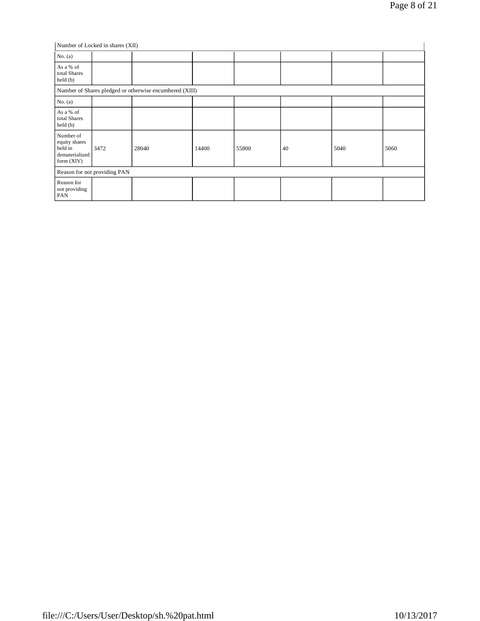|                                                                         | Number of Locked in shares (XII) |       |       |       |    |      |      |  |  |  |  |
|-------------------------------------------------------------------------|----------------------------------|-------|-------|-------|----|------|------|--|--|--|--|
| No. $(a)$                                                               |                                  |       |       |       |    |      |      |  |  |  |  |
| As a % of<br>total Shares<br>held (b)                                   |                                  |       |       |       |    |      |      |  |  |  |  |
| Number of Shares pledged or otherwise encumbered (XIII)                 |                                  |       |       |       |    |      |      |  |  |  |  |
| No. $(a)$                                                               |                                  |       |       |       |    |      |      |  |  |  |  |
| As a % of<br>total Shares<br>$\text{held}(\text{b})$                    |                                  |       |       |       |    |      |      |  |  |  |  |
| Number of<br>equity shares<br>held in<br>dematerialized<br>form $(XIV)$ | 3472                             | 28040 | 14400 | 55800 | 40 | 5040 | 5060 |  |  |  |  |
|                                                                         | Reason for not providing PAN     |       |       |       |    |      |      |  |  |  |  |
| Reason for<br>not providing<br>PAN                                      |                                  |       |       |       |    |      |      |  |  |  |  |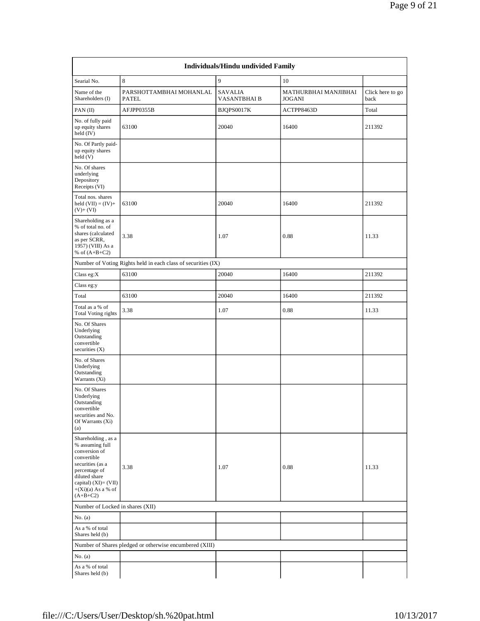|                                                                                                                                                                                              |                                                               | Individuals/Hindu undivided Family |                                       |                          |
|----------------------------------------------------------------------------------------------------------------------------------------------------------------------------------------------|---------------------------------------------------------------|------------------------------------|---------------------------------------|--------------------------|
| Searial No.                                                                                                                                                                                  | 8                                                             | 9                                  | 10                                    |                          |
| Name of the<br>Shareholders (I)                                                                                                                                                              | PARSHOTTAMBHAI MOHANLAL<br><b>PATEL</b>                       | <b>SAVALIA</b><br>VASANTBHAI B     | MATHURBHAI MANJIBHAI<br><b>JOGANI</b> | Click here to go<br>back |
| PAN(II)                                                                                                                                                                                      | AFJPP0355B                                                    | BJQPS0017K                         | ACTPP8463D                            | Total                    |
| No. of fully paid<br>up equity shares<br>held $(IV)$                                                                                                                                         | 63100                                                         | 20040                              | 16400                                 | 211392                   |
| No. Of Partly paid-<br>up equity shares<br>$\text{held}(V)$                                                                                                                                  |                                                               |                                    |                                       |                          |
| No. Of shares<br>underlying<br>Depository<br>Receipts (VI)                                                                                                                                   |                                                               |                                    |                                       |                          |
| Total nos. shares<br>held $(VII) = (IV) +$<br>$(V)+(VI)$                                                                                                                                     | 63100                                                         | 20040                              | 16400                                 | 211392                   |
| Shareholding as a<br>% of total no. of<br>shares (calculated<br>as per SCRR,<br>1957) (VIII) As a<br>% of $(A+B+C2)$                                                                         | 3.38                                                          | 1.07                               | 0.88                                  | 11.33                    |
|                                                                                                                                                                                              | Number of Voting Rights held in each class of securities (IX) |                                    |                                       |                          |
| Class eg: $X$                                                                                                                                                                                | 63100                                                         | 20040                              | 16400                                 | 211392                   |
| Class eg:y                                                                                                                                                                                   |                                                               |                                    |                                       |                          |
| Total                                                                                                                                                                                        | 63100                                                         | 20040                              | 16400                                 | 211392                   |
| Total as a % of<br><b>Total Voting rights</b>                                                                                                                                                | 3.38                                                          | 1.07                               | 0.88                                  | 11.33                    |
| No. Of Shares<br>Underlying<br>Outstanding<br>convertible<br>securities $(X)$                                                                                                                |                                                               |                                    |                                       |                          |
| No. of Shares<br>Underlying<br>Outstanding<br>Warrants (Xi)                                                                                                                                  |                                                               |                                    |                                       |                          |
| No. Of Shares<br>Underlying<br>Outstanding<br>convertible<br>securities and No.<br>Of Warrants (Xi)<br>(a)                                                                                   |                                                               |                                    |                                       |                          |
| Shareholding, as a<br>% assuming full<br>conversion of<br>convertible<br>securities (as a<br>percentage of<br>diluted share<br>capital) $(XI) = (VII)$<br>$+(Xi)(a)$ As a % of<br>$(A+B+C2)$ | 3.38                                                          | 1.07                               | 0.88                                  | 11.33                    |
| Number of Locked in shares (XII)                                                                                                                                                             |                                                               |                                    |                                       |                          |
| No. (a)                                                                                                                                                                                      |                                                               |                                    |                                       |                          |
| As a % of total<br>Shares held (b)                                                                                                                                                           |                                                               |                                    |                                       |                          |
|                                                                                                                                                                                              | Number of Shares pledged or otherwise encumbered (XIII)       |                                    |                                       |                          |
| No. $(a)$                                                                                                                                                                                    |                                                               |                                    |                                       |                          |
| As a % of total<br>Shares held (b)                                                                                                                                                           |                                                               |                                    |                                       |                          |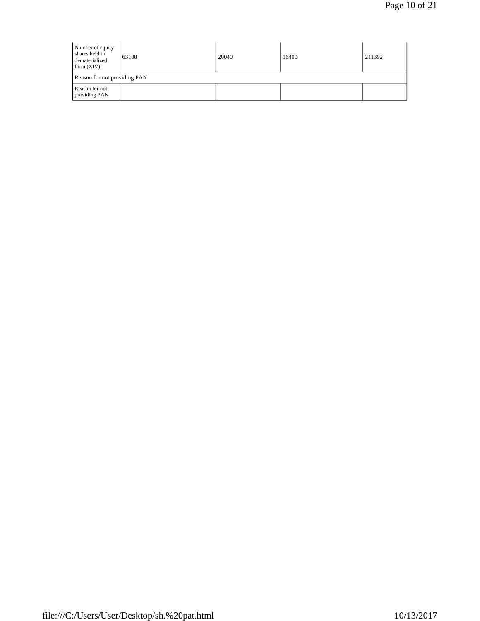| Number of equity<br>shares held in<br>dematerialized<br>form $(XIV)$ | 63100                        | 20040 | 16400 | 211392 |  |  |  |  |  |  |
|----------------------------------------------------------------------|------------------------------|-------|-------|--------|--|--|--|--|--|--|
|                                                                      | Reason for not providing PAN |       |       |        |  |  |  |  |  |  |
| Reason for not<br>providing PAN                                      |                              |       |       |        |  |  |  |  |  |  |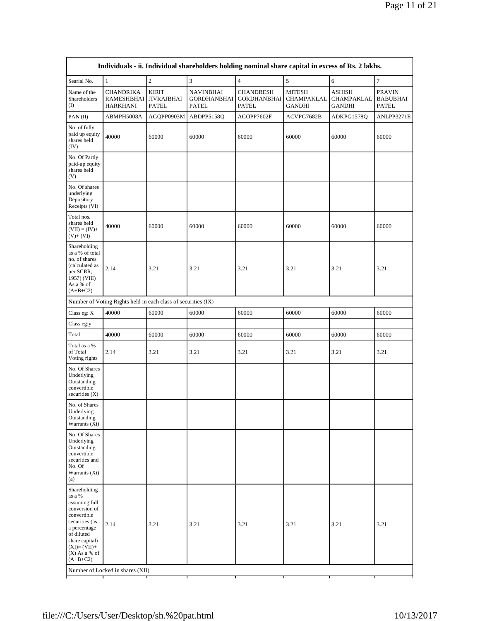|                                                                                                                                                                                              | Individuals - ii. Individual shareholders holding nominal share capital in excess of Rs. 2 lakhs. |                                            |                                                        |                                                 |                                              |                                              |                                                  |  |  |  |  |  |
|----------------------------------------------------------------------------------------------------------------------------------------------------------------------------------------------|---------------------------------------------------------------------------------------------------|--------------------------------------------|--------------------------------------------------------|-------------------------------------------------|----------------------------------------------|----------------------------------------------|--------------------------------------------------|--|--|--|--|--|
| Searial No.                                                                                                                                                                                  | $\mathbf{1}$                                                                                      | $\overline{c}$                             | 3                                                      | $\overline{4}$                                  | 5                                            | 6                                            | $\tau$                                           |  |  |  |  |  |
| Name of the<br>Shareholders<br>$\rm (I)$                                                                                                                                                     | <b>CHANDRIKA</b><br>RAMESHBHAI<br><b>HARKHANI</b>                                                 | <b>KIRIT</b><br><b>JIVRAJBHAI</b><br>PATEL | <b>NAVINBHAI</b><br><b>GORDHANBHAI</b><br><b>PATEL</b> | <b>CHANDRESH</b><br><b>GORDHANBHAI</b><br>PATEL | <b>MITESH</b><br><b>CHAMPAKLAL</b><br>GANDHI | <b>ASHISH</b><br>CHAMPAKLAL<br><b>GANDHI</b> | <b>PRAVIN</b><br><b>BABUBHAI</b><br><b>PATEL</b> |  |  |  |  |  |
| PAN(II)                                                                                                                                                                                      | ABMPH5008A                                                                                        | AGQPP0903M                                 | ABDPP5158Q                                             | ACOPP7602F                                      | ACVPG7682B                                   | ADKPG1578Q                                   | ANLPP3271E                                       |  |  |  |  |  |
| No. of fully<br>paid up equity<br>shares held<br>(IV)                                                                                                                                        | 40000                                                                                             | 60000                                      | 60000                                                  | 60000                                           | 60000                                        | 60000                                        | 60000                                            |  |  |  |  |  |
| No. Of Partly<br>paid-up equity<br>shares held<br>(V)                                                                                                                                        |                                                                                                   |                                            |                                                        |                                                 |                                              |                                              |                                                  |  |  |  |  |  |
| No. Of shares<br>underlying<br>Depository<br>Receipts (VI)                                                                                                                                   |                                                                                                   |                                            |                                                        |                                                 |                                              |                                              |                                                  |  |  |  |  |  |
| Total nos.<br>shares held<br>$(VII) = (IV) +$<br>$(V)+(VI)$                                                                                                                                  | 40000                                                                                             | 60000                                      | 60000                                                  | 60000                                           | 60000                                        | 60000                                        | 60000                                            |  |  |  |  |  |
| Shareholding<br>as a % of total<br>no. of shares<br>(calculated as<br>per SCRR,<br>1957) (VIII)<br>As a % of<br>$(A+B+C2)$                                                                   | 2.14                                                                                              | 3.21                                       | 3.21                                                   | 3.21                                            | 3.21                                         | 3.21                                         | 3.21                                             |  |  |  |  |  |
|                                                                                                                                                                                              | Number of Voting Rights held in each class of securities (IX)                                     |                                            |                                                        |                                                 |                                              |                                              |                                                  |  |  |  |  |  |
| Class eg: $X$                                                                                                                                                                                | 40000                                                                                             | 60000                                      | 60000                                                  | 60000                                           | 60000                                        | 60000                                        | 60000                                            |  |  |  |  |  |
| Class eg:y                                                                                                                                                                                   |                                                                                                   |                                            |                                                        |                                                 |                                              |                                              |                                                  |  |  |  |  |  |
| Total                                                                                                                                                                                        | 40000                                                                                             | 60000                                      | 60000                                                  | 60000                                           | 60000                                        | 60000                                        | 60000                                            |  |  |  |  |  |
| Total as a %<br>of Total<br>Voting rights                                                                                                                                                    | 2.14                                                                                              | 3.21                                       | 3.21                                                   | 3.21                                            | 3.21                                         | 3.21                                         | 3.21                                             |  |  |  |  |  |
| No. Of Shares<br>Underlying<br>Outstanding<br>convertible<br>securities (X)                                                                                                                  |                                                                                                   |                                            |                                                        |                                                 |                                              |                                              |                                                  |  |  |  |  |  |
| No. of Shares<br>Underlying<br>Outstanding<br>Warrants (Xi)                                                                                                                                  |                                                                                                   |                                            |                                                        |                                                 |                                              |                                              |                                                  |  |  |  |  |  |
| No. Of Shares<br>Underlying<br>Outstanding<br>convertible<br>securities and<br>No. Of<br>Warrants (Xi)<br>(a)                                                                                |                                                                                                   |                                            |                                                        |                                                 |                                              |                                              |                                                  |  |  |  |  |  |
| Shareholding,<br>as a %<br>assuming full<br>conversion of<br>convertible<br>securities (as<br>a percentage<br>of diluted<br>share capital)<br>$(XI)=(VII)+$<br>$(X)$ As a % of<br>$(A+B+C2)$ | 2.14<br>Number of Locked in shares (XII)                                                          | 3.21                                       | 3.21                                                   | 3.21                                            | 3.21                                         | 3.21                                         | 3.21                                             |  |  |  |  |  |
|                                                                                                                                                                                              | ┯<br>┯                                                                                            |                                            | т<br>т                                                 |                                                 |                                              | т                                            | т                                                |  |  |  |  |  |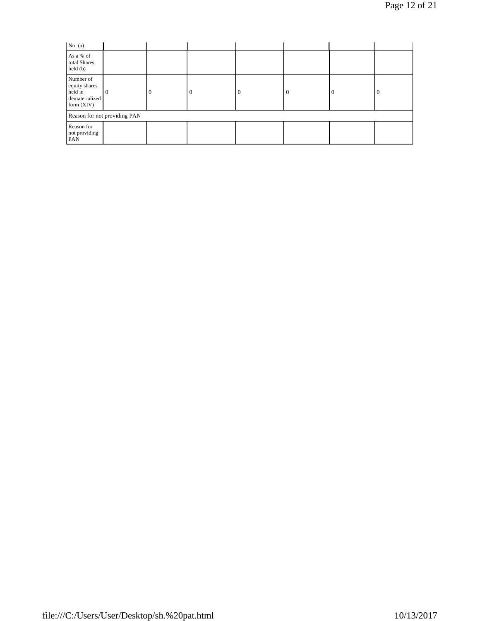| No. $(a)$                                                               |                              |          |          |          |          |     |
|-------------------------------------------------------------------------|------------------------------|----------|----------|----------|----------|-----|
| As a % of<br>total Shares<br>$\text{held}(\text{b})$                    |                              |          |          |          |          |     |
| Number of<br>equity shares<br>held in<br>dematerialized<br>form $(XIV)$ | $\overline{0}$               | $\Omega$ | $\theta$ | $\theta$ | $\theta$ | l 0 |
|                                                                         | Reason for not providing PAN |          |          |          |          |     |
| Reason for<br>not providing<br>PAN                                      |                              |          |          |          |          |     |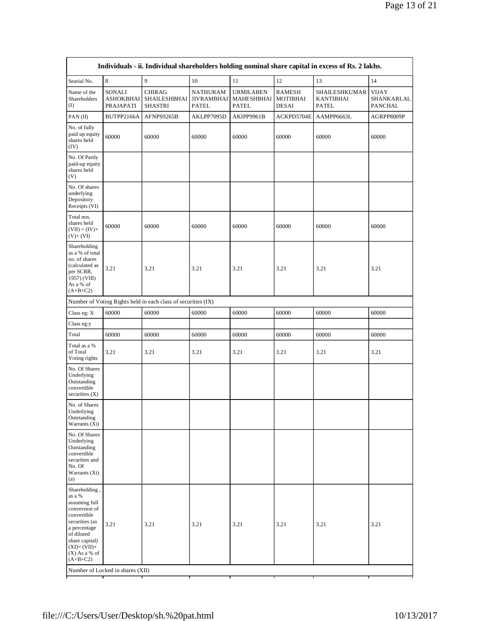| Individuals - ii. Individual shareholders holding nominal share capital in excess of Rs. 2 lakhs.                                                                                            |                                         |                                                               |                                                      |                                         |                                    |                                            |                                              |
|----------------------------------------------------------------------------------------------------------------------------------------------------------------------------------------------|-----------------------------------------|---------------------------------------------------------------|------------------------------------------------------|-----------------------------------------|------------------------------------|--------------------------------------------|----------------------------------------------|
| Searial No.                                                                                                                                                                                  | $\,$ 8 $\,$                             | 9                                                             | 10                                                   | 11                                      | 12                                 | 13                                         | 14                                           |
| Name of the<br>Shareholders<br>(I)                                                                                                                                                           | SONALI<br><b>ASHOKBHAI</b><br>PRAJAPATI | <b>CHIRAG</b><br><b>SHAILESHBHAI</b><br><b>SHASTRI</b>        | <b>NATHURAM</b><br><b>JIVRAMBHAI</b><br><b>PATEL</b> | <b>URMILABEN</b><br>MAHESHBHAI<br>PATEL | RAMESH<br><b>MOTIBHAI</b><br>DESAI | SHAILESHKUMAR<br><b>KANTIBHAI</b><br>PATEL | <b>VIJAY</b><br>SHANKARLAL<br><b>PANCHAL</b> |
| PAN(II)                                                                                                                                                                                      | BUTPP2166A                              | AFNPS9265B                                                    | AKLPP7095D                                           | AKIPP9961B                              | ACKPD5704E                         | AAMPP6663L                                 | AGRPP8009P                                   |
| No. of fully<br>paid up equity<br>shares held<br>(IV)                                                                                                                                        | 60000                                   | 60000                                                         | 60000                                                | 60000                                   | 60000                              | 60000                                      | 60000                                        |
| No. Of Partly<br>paid-up equity<br>shares held<br>(V)                                                                                                                                        |                                         |                                                               |                                                      |                                         |                                    |                                            |                                              |
| No. Of shares<br>underlying<br>Depository<br>Receipts (VI)                                                                                                                                   |                                         |                                                               |                                                      |                                         |                                    |                                            |                                              |
| Total nos.<br>shares held<br>$(VII) = (IV) +$<br>$(V)+(VI)$                                                                                                                                  | 60000                                   | 60000                                                         | 60000                                                | 60000                                   | 60000                              | 60000                                      | 60000                                        |
| Shareholding<br>as a % of total<br>no. of shares<br>(calculated as<br>per SCRR,<br>1957) (VIII)<br>As a % of<br>$(A+B+C2)$                                                                   | 3.21                                    | 3.21                                                          | 3.21                                                 | 3.21                                    | 3.21                               | 3.21                                       | 3.21                                         |
|                                                                                                                                                                                              |                                         | Number of Voting Rights held in each class of securities (IX) |                                                      |                                         |                                    |                                            |                                              |
| Class eg: X                                                                                                                                                                                  | 60000                                   | 60000                                                         | 60000                                                | 60000                                   | 60000                              | 60000                                      | 60000                                        |
| Class eg:y                                                                                                                                                                                   |                                         |                                                               |                                                      |                                         |                                    |                                            |                                              |
| Total                                                                                                                                                                                        | 60000                                   | 60000                                                         | 60000                                                | 60000                                   | 60000                              | 60000                                      | 60000                                        |
| Total as a %<br>of Total<br>Voting rights                                                                                                                                                    | 3.21                                    | 3.21                                                          | 3.21                                                 | 3.21                                    | 3.21                               | 3.21                                       | 3.21                                         |
| No. Of Shares<br>Underlying<br>Outstanding<br>convertible<br>securities $(X)$                                                                                                                |                                         |                                                               |                                                      |                                         |                                    |                                            |                                              |
| No. of Shares<br>Underlying<br>Outstanding<br>Warrants (Xi)                                                                                                                                  |                                         |                                                               |                                                      |                                         |                                    |                                            |                                              |
| No. Of Shares<br>Underlying<br>Outstanding<br>convertible<br>securities and<br>No. Of<br>Warrants (Xi)<br>(a)                                                                                |                                         |                                                               |                                                      |                                         |                                    |                                            |                                              |
| Shareholding,<br>as a %<br>assuming full<br>conversion of<br>convertible<br>securities (as<br>a percentage<br>of diluted<br>share capital)<br>$(XI)=(VII)+$<br>$(X)$ As a % of<br>$(A+B+C2)$ | 3.21                                    | 3.21                                                          | 3.21                                                 | 3.21                                    | 3.21                               | 3.21                                       | 3.21                                         |
| Number of Locked in shares (XII)<br>т<br>т                                                                                                                                                   |                                         |                                                               |                                                      |                                         |                                    |                                            |                                              |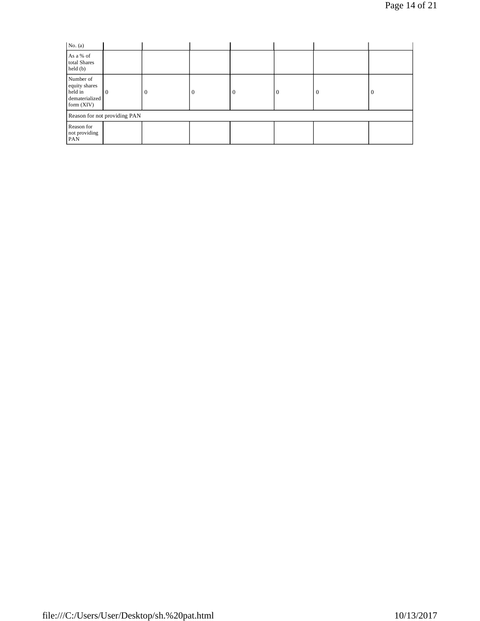Page 14 of 21

| No. $(a)$                                                             |   |          |          |          |  |          |          |
|-----------------------------------------------------------------------|---|----------|----------|----------|--|----------|----------|
| As a % of<br>total Shares<br>held(b)                                  |   |          |          |          |  |          |          |
| Number of<br>equity shares<br>held in<br>dematerialized<br>form (XIV) | 0 | $\Omega$ | $\Omega$ | $\Omega$ |  | $\theta$ | $\theta$ |
| Reason for not providing PAN                                          |   |          |          |          |  |          |          |
| Reason for<br>not providing<br>PAN                                    |   |          |          |          |  |          |          |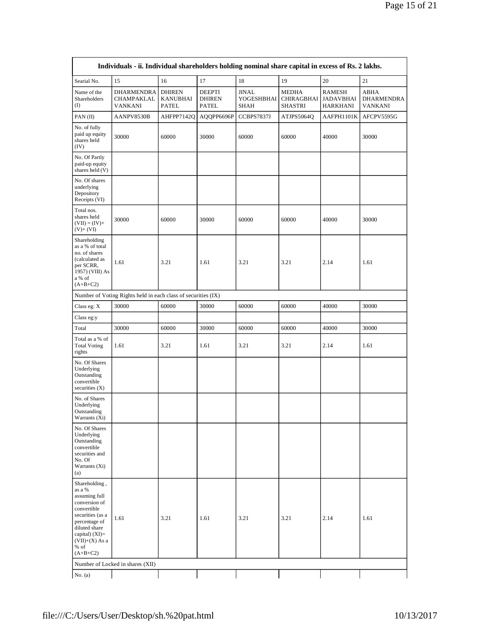| Individuals - ii. Individual shareholders holding nominal share capital in excess of Rs. 2 lakhs.                                                                                            |                                                               |                                           |                                                |                                           |                                       |                                               |                                      |
|----------------------------------------------------------------------------------------------------------------------------------------------------------------------------------------------|---------------------------------------------------------------|-------------------------------------------|------------------------------------------------|-------------------------------------------|---------------------------------------|-----------------------------------------------|--------------------------------------|
| Searial No.                                                                                                                                                                                  | 15                                                            | 16                                        | 17                                             | 18                                        | 19                                    | 20                                            | 21                                   |
| Name of the<br>Shareholders<br>(I)                                                                                                                                                           | <b>DHARMENDRA</b><br>CHAMPAKLAL<br>VANKANI                    | <b>DHIREN</b><br><b>KANUBHAI</b><br>PATEL | <b>DEEPTI</b><br><b>DHIREN</b><br><b>PATEL</b> | <b>JINAL</b><br>YOGESHBHAI<br><b>SHAH</b> | MEDHA<br><b>CHIRAGBHAI</b><br>SHASTRI | <b>RAMESH</b><br>JADAVBHAI<br><b>HARKHANI</b> | ABHA<br>DHARMENDRA<br><b>VANKANI</b> |
| PAN(II)                                                                                                                                                                                      | AANPV8530B                                                    | AHFPP7142Q                                | AQQPP6696P                                     | CCBPS7837J                                | ATJPS5064Q                            | AAFPH1101K                                    | AFCPV5595G                           |
| No. of fully<br>paid up equity<br>shares held<br>(IV)                                                                                                                                        | 30000                                                         | 60000                                     | 30000                                          | 60000                                     | 60000                                 | 40000                                         | 30000                                |
| No. Of Partly<br>paid-up equity<br>shares held (V)                                                                                                                                           |                                                               |                                           |                                                |                                           |                                       |                                               |                                      |
| No. Of shares<br>underlying<br>Depository<br>Receipts (VI)                                                                                                                                   |                                                               |                                           |                                                |                                           |                                       |                                               |                                      |
| Total nos.<br>shares held<br>$(VII) = (IV) +$<br>$(V) + (VI)$                                                                                                                                | 30000                                                         | 60000                                     | 30000                                          | 60000                                     | 60000                                 | 40000                                         | 30000                                |
| Shareholding<br>as a % of total<br>no. of shares<br>(calculated as<br>per SCRR,<br>1957) (VIII) As<br>a % of<br>$(A+B+C2)$                                                                   | 1.61                                                          | 3.21                                      | 1.61                                           | 3.21                                      | 3.21                                  | 2.14                                          | 1.61                                 |
|                                                                                                                                                                                              | Number of Voting Rights held in each class of securities (IX) |                                           |                                                |                                           |                                       |                                               |                                      |
| Class eg: X                                                                                                                                                                                  | 30000                                                         | 60000                                     | 30000                                          | 60000                                     | 60000                                 | 40000                                         | 30000                                |
| Class eg:y                                                                                                                                                                                   |                                                               |                                           |                                                |                                           |                                       |                                               |                                      |
| Total                                                                                                                                                                                        | 30000                                                         | 60000                                     | 30000                                          | 60000                                     | 60000                                 | 40000                                         | 30000                                |
| Total as a % of<br><b>Total Voting</b><br>rights                                                                                                                                             | 1.61                                                          | 3.21                                      | 1.61                                           | 3.21                                      | 3.21                                  | 2.14                                          | 1.61                                 |
| No. Of Shares<br>Underlying<br>Outstanding<br>convertible<br>securities $(X)$                                                                                                                |                                                               |                                           |                                                |                                           |                                       |                                               |                                      |
| No. of Shares<br>Underlying<br>Outstanding<br>Warrants (Xi)                                                                                                                                  |                                                               |                                           |                                                |                                           |                                       |                                               |                                      |
| No. Of Shares<br>Underlying<br>Outstanding<br>convertible<br>securities and<br>No. Of<br>Warrants (Xi)<br>(a)                                                                                |                                                               |                                           |                                                |                                           |                                       |                                               |                                      |
| Shareholding,<br>as a %<br>assuming full<br>conversion of<br>convertible<br>securities (as a<br>percentage of<br>diluted share<br>capital) $(XI)=$<br>$(VII)+(X)$ As a<br>% of<br>$(A+B+C2)$ | 1.61                                                          | 3.21                                      | 1.61                                           | 3.21                                      | 3.21                                  | 2.14                                          | 1.61                                 |
|                                                                                                                                                                                              | Number of Locked in shares (XII)                              |                                           |                                                |                                           |                                       |                                               |                                      |
| No. $(a)$                                                                                                                                                                                    |                                                               |                                           |                                                |                                           |                                       |                                               |                                      |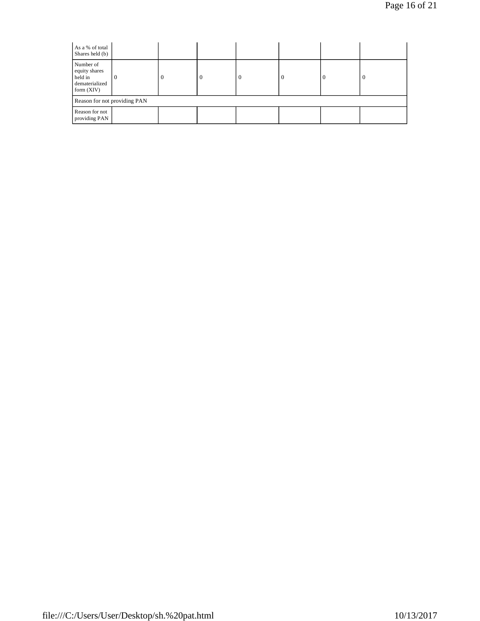| As a % of total<br>Shares held (b)                                      |          |          |          |          |          |  |   |
|-------------------------------------------------------------------------|----------|----------|----------|----------|----------|--|---|
| Number of<br>equity shares<br>held in<br>dematerialized<br>form $(XIV)$ | $\Omega$ | $\Omega$ | $\theta$ | $\Omega$ | $\theta$ |  | 0 |
| Reason for not providing PAN                                            |          |          |          |          |          |  |   |
| Reason for not<br>providing PAN                                         |          |          |          |          |          |  |   |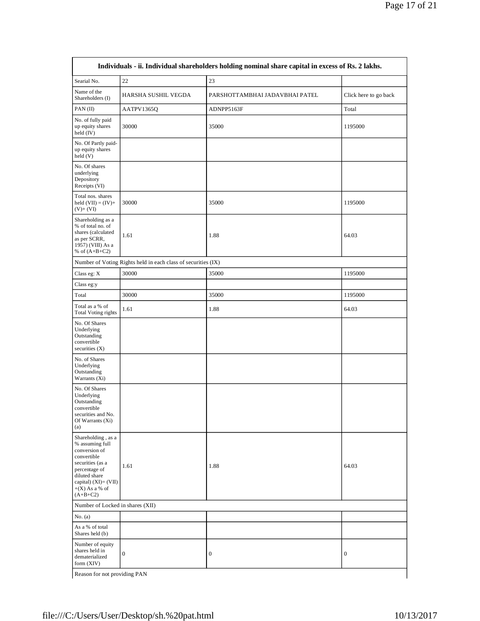| Individuals - ii. Individual shareholders holding nominal share capital in excess of Rs. 2 lakhs.                                                                                        |                                                               |                                |                       |  |  |  |
|------------------------------------------------------------------------------------------------------------------------------------------------------------------------------------------|---------------------------------------------------------------|--------------------------------|-----------------------|--|--|--|
| Searial No.                                                                                                                                                                              | $22\,$                                                        | 23                             |                       |  |  |  |
| Name of the<br>Shareholders (I)                                                                                                                                                          | HARSHA SUSHIL VEGDA                                           | PARSHOTTAMBHAI JADAVBHAI PATEL | Click here to go back |  |  |  |
| $PAN$ (II)                                                                                                                                                                               | AATPV1365Q                                                    | ADNPP5163F                     | Total                 |  |  |  |
| No. of fully paid<br>up equity shares<br>held $(IV)$                                                                                                                                     | 30000                                                         | 35000                          | 1195000               |  |  |  |
| No. Of Partly paid-<br>up equity shares<br>held (V)                                                                                                                                      |                                                               |                                |                       |  |  |  |
| No. Of shares<br>underlying<br>Depository<br>Receipts (VI)                                                                                                                               |                                                               |                                |                       |  |  |  |
| Total nos. shares<br>held $(VII) = (IV) +$<br>$(V)+(VI)$                                                                                                                                 | 30000                                                         | 35000                          | 1195000               |  |  |  |
| Shareholding as a<br>% of total no. of<br>shares (calculated<br>as per SCRR,<br>1957) (VIII) As a<br>% of $(A+B+C2)$                                                                     | 1.61                                                          | 1.88                           | 64.03                 |  |  |  |
|                                                                                                                                                                                          | Number of Voting Rights held in each class of securities (IX) |                                |                       |  |  |  |
| Class eg: X                                                                                                                                                                              | 30000                                                         | 35000                          | 1195000               |  |  |  |
| Class eg:y                                                                                                                                                                               |                                                               |                                |                       |  |  |  |
| Total                                                                                                                                                                                    | 30000                                                         | 35000                          | 1195000               |  |  |  |
| Total as a % of<br><b>Total Voting rights</b>                                                                                                                                            | 1.61                                                          | 1.88                           | 64.03                 |  |  |  |
| No. Of Shares<br>Underlying<br>Outstanding<br>convertible<br>securities (X)                                                                                                              |                                                               |                                |                       |  |  |  |
| No. of Shares<br>Underlying<br>Outstanding<br>Warrants (Xi)                                                                                                                              |                                                               |                                |                       |  |  |  |
| No. Of Shares<br>Underlying<br>Outstanding<br>convertible<br>securities and No.<br>Of Warrants (Xi)<br>(a)                                                                               |                                                               |                                |                       |  |  |  |
| Shareholding, as a<br>% assuming full<br>conversion of<br>convertible<br>securities (as a<br>percentage of<br>diluted share<br>capital) $(XI) = (VII)$<br>$+(X)$ As a % of<br>$(A+B+C2)$ | 1.61                                                          | 1.88                           | 64.03                 |  |  |  |
| Number of Locked in shares (XII)                                                                                                                                                         |                                                               |                                |                       |  |  |  |
| No. $(a)$                                                                                                                                                                                |                                                               |                                |                       |  |  |  |
| As a % of total<br>Shares held (b)                                                                                                                                                       |                                                               |                                |                       |  |  |  |
| Number of equity<br>shares held in<br>dematerialized<br>form (XIV)                                                                                                                       | $\boldsymbol{0}$                                              | 0                              | $\boldsymbol{0}$      |  |  |  |
| Reason for not providing PAN                                                                                                                                                             |                                                               |                                |                       |  |  |  |

r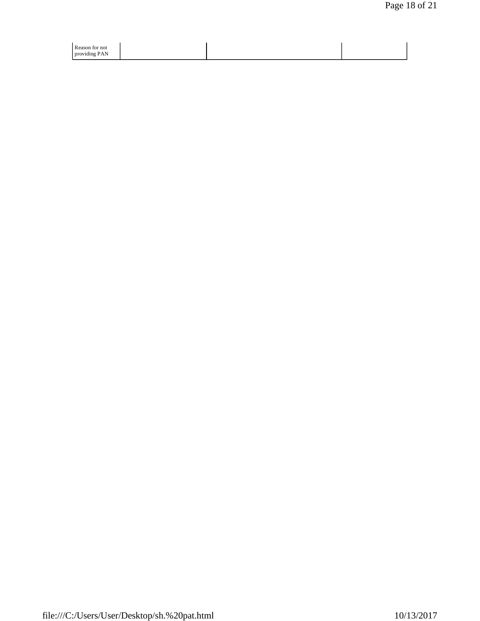| Reason for not |  |  |
|----------------|--|--|
| providing PAN  |  |  |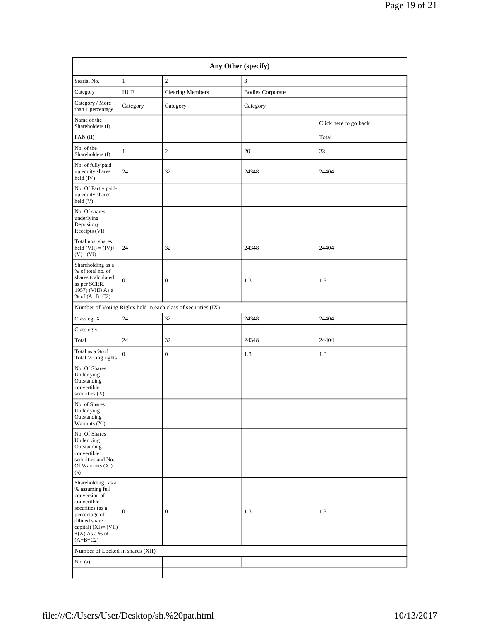| Any Other (specify)                                                                                                                                                                      |                  |                                                               |                         |                       |  |  |  |
|------------------------------------------------------------------------------------------------------------------------------------------------------------------------------------------|------------------|---------------------------------------------------------------|-------------------------|-----------------------|--|--|--|
| Searial No.                                                                                                                                                                              | $\mathbf{1}$     | $\mathbf{2}$                                                  | 3                       |                       |  |  |  |
| Category                                                                                                                                                                                 | <b>HUF</b>       | <b>Clearing Members</b>                                       | <b>Bodies Corporate</b> |                       |  |  |  |
| Category / More<br>than 1 percentage                                                                                                                                                     | Category         | Category                                                      | Category                |                       |  |  |  |
| Name of the<br>Shareholders (I)                                                                                                                                                          |                  |                                                               |                         | Click here to go back |  |  |  |
| PAN(II)                                                                                                                                                                                  |                  |                                                               |                         | Total                 |  |  |  |
| No. of the<br>Shareholders (I)                                                                                                                                                           | $\mathbf{1}$     | $\boldsymbol{2}$                                              | 20                      | 23                    |  |  |  |
| No. of fully paid<br>up equity shares<br>held (IV)                                                                                                                                       | 24               | 32                                                            | 24348                   | 24404                 |  |  |  |
| No. Of Partly paid-<br>up equity shares<br>held(V)                                                                                                                                       |                  |                                                               |                         |                       |  |  |  |
| No. Of shares<br>underlying<br>Depository<br>Receipts (VI)                                                                                                                               |                  |                                                               |                         |                       |  |  |  |
| Total nos. shares<br>held $(VII) = (IV) +$<br>$(V) + (VI)$                                                                                                                               | 24               | 32                                                            | 24348                   | 24404                 |  |  |  |
| Shareholding as a<br>% of total no. of<br>shares (calculated<br>as per SCRR,<br>1957) (VIII) As a<br>% of $(A+B+C2)$                                                                     | $\boldsymbol{0}$ | $\boldsymbol{0}$                                              | 1.3                     | 1.3                   |  |  |  |
|                                                                                                                                                                                          |                  | Number of Voting Rights held in each class of securities (IX) |                         |                       |  |  |  |
| Class eg: X                                                                                                                                                                              | 24               | 32                                                            | 24348                   | 24404                 |  |  |  |
| Class eg:y                                                                                                                                                                               |                  |                                                               |                         |                       |  |  |  |
| Total                                                                                                                                                                                    | 24               | 32                                                            | 24348                   | 24404                 |  |  |  |
| Total as a % of<br><b>Total Voting rights</b>                                                                                                                                            | $\boldsymbol{0}$ | $\boldsymbol{0}$                                              | 1.3                     | 1.3                   |  |  |  |
| No. Of Shares<br>Underlying<br>Outstanding<br>convertible<br>securities $(X)$                                                                                                            |                  |                                                               |                         |                       |  |  |  |
| No. of Shares<br>Underlying<br>Outstanding<br>Warrants (Xi)                                                                                                                              |                  |                                                               |                         |                       |  |  |  |
| No. Of Shares<br>Underlying<br>Outstanding<br>convertible<br>securities and No.<br>Of Warrants (Xi)<br>(a)                                                                               |                  |                                                               |                         |                       |  |  |  |
| Shareholding, as a<br>% assuming full<br>conversion of<br>convertible<br>securities (as a<br>percentage of<br>diluted share<br>capital) $(XI) = (VII)$<br>$+(X)$ As a % of<br>$(A+B+C2)$ | $\boldsymbol{0}$ | $\boldsymbol{0}$                                              | 1.3                     | 1.3                   |  |  |  |
| Number of Locked in shares (XII)                                                                                                                                                         |                  |                                                               |                         |                       |  |  |  |
| No. $(a)$                                                                                                                                                                                |                  |                                                               |                         |                       |  |  |  |
|                                                                                                                                                                                          |                  |                                                               |                         |                       |  |  |  |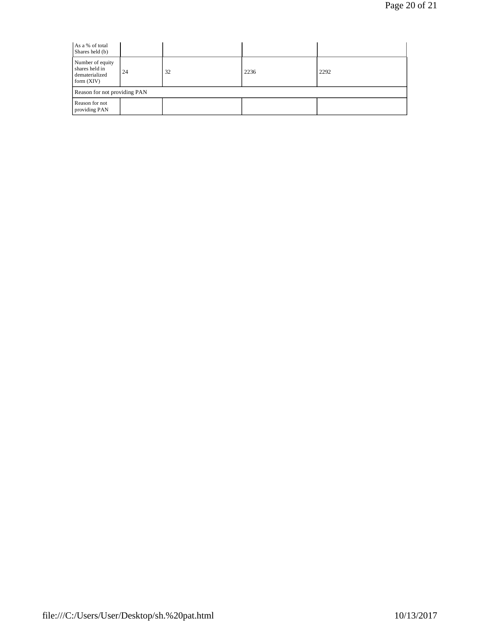| As a % of total<br>Shares held (b)                                   |    |    |      |      |  |  |  |
|----------------------------------------------------------------------|----|----|------|------|--|--|--|
| Number of equity<br>shares held in<br>dematerialized<br>form $(XIV)$ | 24 | 32 | 2236 | 2292 |  |  |  |
| Reason for not providing PAN                                         |    |    |      |      |  |  |  |
| Reason for not<br>providing PAN                                      |    |    |      |      |  |  |  |